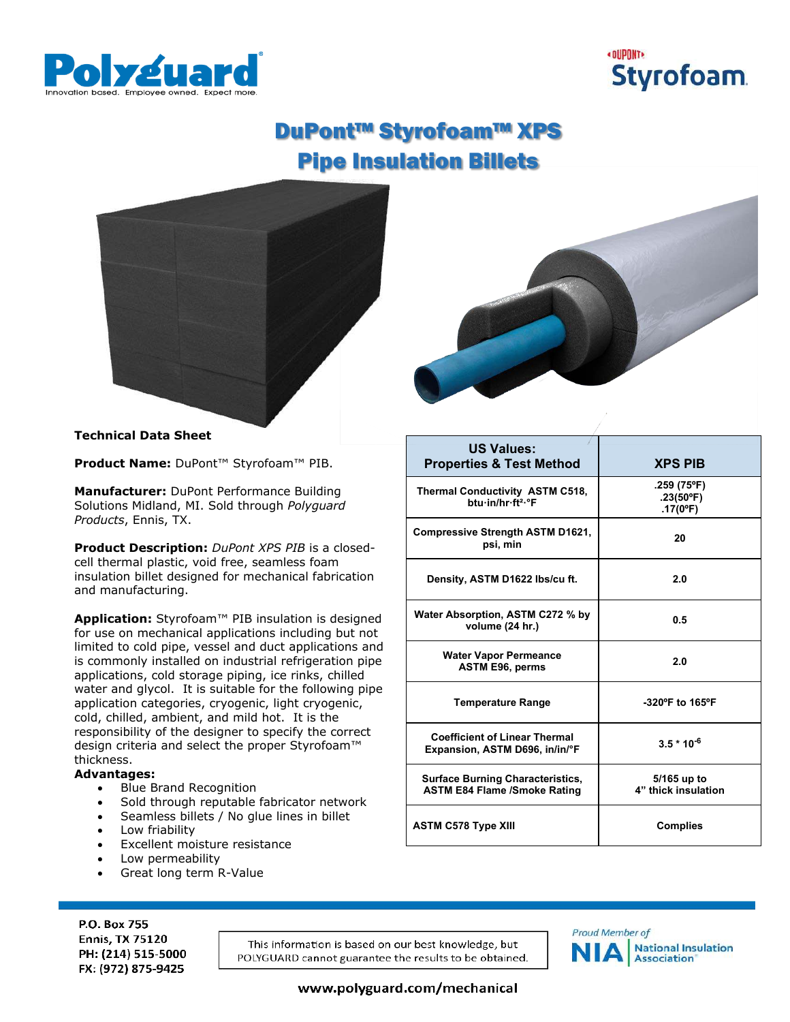



**.259 (75ºF) .23(50ºF) .17(0ºF)**

**5/165 up to 4" thick insulation**

# DuPont™ Styrofoam™ XPS Pipe Insulation Billets





**Properties & Test Method XPS PIB**

**Density, ASTM D1622 lbs/cu ft. 2.0**

**psi, min** *psi, min 20* 

**volume (24 hr.) 0.5** 

**ASTM E96, perms 2.0**

**Expansion, ASTM D696, in/in/°F 3.5 \* 10-6**

ASTM C578 Type XIII **Complies** 

**Temperature Range -320ºF to 165ºF**

**US Values:**

**Thermal Conductivity ASTM C518, btu·in/hr·ft²·°F**

**Compressive Strength ASTM D1621,** 

**Water Absorption, ASTM C272 % by** 

**Water Vapor Permeance** 

**Coefficient of Linear Thermal** 

**Surface Burning Characteristics, ASTM E84 Flame /Smoke Rating** 

# **Technical Data Sheet**

**Product Name:** DuPont™ Styrofoam™ PIB.

**Manufacturer:** DuPont Performance Building Solutions Midland, MI. Sold through *Polyguard Products*, Ennis, TX.

**Product Description:** *DuPont XPS PIB* is a closedcell thermal plastic, void free, seamless foam insulation billet designed for mechanical fabrication and manufacturing.

**Application:** Styrofoam™ PIB insulation is designed for use on mechanical applications including but not limited to cold pipe, vessel and duct applications and is commonly installed on industrial refrigeration pipe applications, cold storage piping, ice rinks, chilled water and glycol. It is suitable for the following pipe application categories, cryogenic, light cryogenic, cold, chilled, ambient, and mild hot. It is the responsibility of the designer to specify the correct design criteria and select the proper Styrofoam™ thickness.

## **Advantages:**

P.O. Box 755

**Ennis, TX 75120** 

PH: (214) 515-5000

FX: (972) 875-9425

- Blue Brand Recognition
- Sold through reputable fabricator network
- Seamless billets / No glue lines in billet
- Low friability
- Excellent moisture resistance
- Low permeability
- Great long term R-Value

This information is based on our best knowledge, but POLYGUARD cannot guarantee the results to be obtained.



www.polyguard.com/mechanical